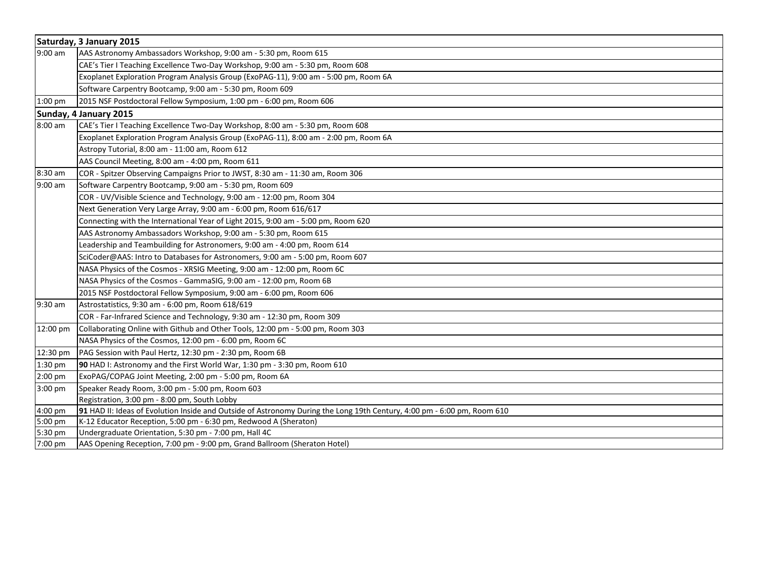|           | Saturday, 3 January 2015                                                                                                |  |  |  |  |
|-----------|-------------------------------------------------------------------------------------------------------------------------|--|--|--|--|
| $9:00$ am | AAS Astronomy Ambassadors Workshop, 9:00 am - 5:30 pm, Room 615                                                         |  |  |  |  |
|           | CAE's Tier I Teaching Excellence Two-Day Workshop, 9:00 am - 5:30 pm, Room 608                                          |  |  |  |  |
|           | Exoplanet Exploration Program Analysis Group (ExoPAG-11), 9:00 am - 5:00 pm, Room 6A                                    |  |  |  |  |
|           | Software Carpentry Bootcamp, 9:00 am - 5:30 pm, Room 609                                                                |  |  |  |  |
| $1:00$ pm | 2015 NSF Postdoctoral Fellow Symposium, 1:00 pm - 6:00 pm, Room 606                                                     |  |  |  |  |
|           | Sunday, 4 January 2015                                                                                                  |  |  |  |  |
| 8:00 am   | CAE's Tier I Teaching Excellence Two-Day Workshop, 8:00 am - 5:30 pm, Room 608                                          |  |  |  |  |
|           | Exoplanet Exploration Program Analysis Group (ExoPAG-11), 8:00 am - 2:00 pm, Room 6A                                    |  |  |  |  |
|           | Astropy Tutorial, 8:00 am - 11:00 am, Room 612                                                                          |  |  |  |  |
|           | AAS Council Meeting, 8:00 am - 4:00 pm, Room 611                                                                        |  |  |  |  |
| 8:30 am   | COR - Spitzer Observing Campaigns Prior to JWST, 8:30 am - 11:30 am, Room 306                                           |  |  |  |  |
| $9:00$ am | Software Carpentry Bootcamp, 9:00 am - 5:30 pm, Room 609                                                                |  |  |  |  |
|           | COR - UV/Visible Science and Technology, 9:00 am - 12:00 pm, Room 304                                                   |  |  |  |  |
|           | Next Generation Very Large Array, 9:00 am - 6:00 pm, Room 616/617                                                       |  |  |  |  |
|           | Connecting with the International Year of Light 2015, 9:00 am - 5:00 pm, Room 620                                       |  |  |  |  |
|           | AAS Astronomy Ambassadors Workshop, 9:00 am - 5:30 pm, Room 615                                                         |  |  |  |  |
|           | Leadership and Teambuilding for Astronomers, 9:00 am - 4:00 pm, Room 614                                                |  |  |  |  |
|           | SciCoder@AAS: Intro to Databases for Astronomers, 9:00 am - 5:00 pm, Room 607                                           |  |  |  |  |
|           | NASA Physics of the Cosmos - XRSIG Meeting, 9:00 am - 12:00 pm, Room 6C                                                 |  |  |  |  |
|           | NASA Physics of the Cosmos - GammaSIG, 9:00 am - 12:00 pm, Room 6B                                                      |  |  |  |  |
|           | 2015 NSF Postdoctoral Fellow Symposium, 9:00 am - 6:00 pm, Room 606                                                     |  |  |  |  |
| 9:30 am   | Astrostatistics, 9:30 am - 6:00 pm, Room 618/619                                                                        |  |  |  |  |
|           | COR - Far-Infrared Science and Technology, 9:30 am - 12:30 pm, Room 309                                                 |  |  |  |  |
| 12:00 pm  | Collaborating Online with Github and Other Tools, 12:00 pm - 5:00 pm, Room 303                                          |  |  |  |  |
|           | NASA Physics of the Cosmos, 12:00 pm - 6:00 pm, Room 6C                                                                 |  |  |  |  |
| 12:30 pm  | PAG Session with Paul Hertz, 12:30 pm - 2:30 pm, Room 6B                                                                |  |  |  |  |
| 1:30 pm   | 90 HAD I: Astronomy and the First World War, 1:30 pm - 3:30 pm, Room 610                                                |  |  |  |  |
| 2:00 pm   | ExoPAG/COPAG Joint Meeting, 2:00 pm - 5:00 pm, Room 6A                                                                  |  |  |  |  |
| 3:00 pm   | Speaker Ready Room, 3:00 pm - 5:00 pm, Room 603                                                                         |  |  |  |  |
|           | Registration, 3:00 pm - 8:00 pm, South Lobby                                                                            |  |  |  |  |
| 4:00 pm   | 91 HAD II: Ideas of Evolution Inside and Outside of Astronomy During the Long 19th Century, 4:00 pm - 6:00 pm, Room 610 |  |  |  |  |
| 5:00 pm   | K-12 Educator Reception, 5:00 pm - 6:30 pm, Redwood A (Sheraton)                                                        |  |  |  |  |
| 5:30 pm   | Undergraduate Orientation, 5:30 pm - 7:00 pm, Hall 4C                                                                   |  |  |  |  |
| 7:00 pm   | AAS Opening Reception, 7:00 pm - 9:00 pm, Grand Ballroom (Sheraton Hotel)                                               |  |  |  |  |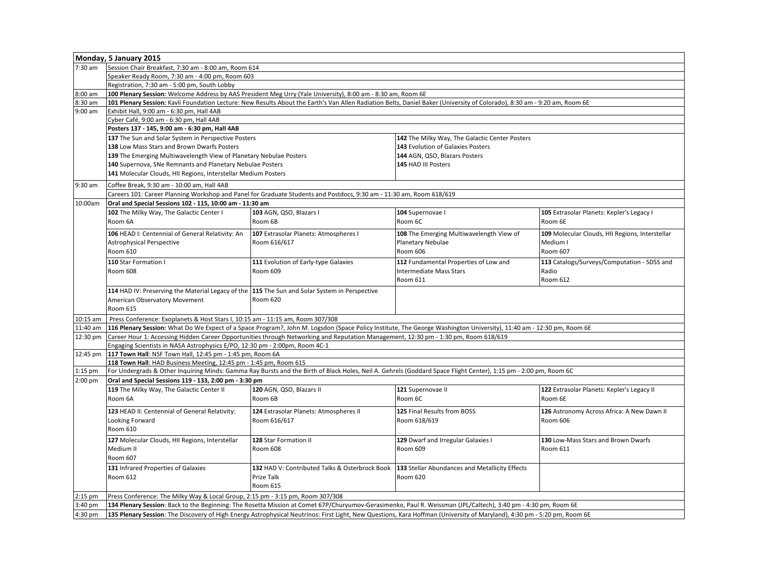|            | Monday, 5 January 2015                                                                                                                                                   |                                                                                                                                                                           |                                                |                                                        |  |  |
|------------|--------------------------------------------------------------------------------------------------------------------------------------------------------------------------|---------------------------------------------------------------------------------------------------------------------------------------------------------------------------|------------------------------------------------|--------------------------------------------------------|--|--|
| 7:30 am    | Session Chair Breakfast, 7:30 am - 8:00 am, Room 614                                                                                                                     |                                                                                                                                                                           |                                                |                                                        |  |  |
|            | Speaker Ready Room, 7:30 am - 4:00 pm, Room 603                                                                                                                          |                                                                                                                                                                           |                                                |                                                        |  |  |
|            | Registration, 7:30 am - 5:00 pm, South Lobby                                                                                                                             |                                                                                                                                                                           |                                                |                                                        |  |  |
| 8:00 am    |                                                                                                                                                                          | 100 Plenary Session: Welcome Address by AAS President Meg Urry (Yale University), 8:00 am - 8:30 am, Room 6E                                                              |                                                |                                                        |  |  |
| 8:30 am    |                                                                                                                                                                          | 101 Plenary Session: Kavli Foundation Lecture: New Results About the Earth's Van Allen Radiation Belts, Daniel Baker (University of Colorado), 8:30 am - 9:20 am, Room 6E |                                                |                                                        |  |  |
| $9:00$ am  | Exhibit Hall, 9:00 am - 6:30 pm, Hall 4AB                                                                                                                                |                                                                                                                                                                           |                                                |                                                        |  |  |
|            | Cyber Café, 9:00 am - 6:30 pm, Hall 4AB                                                                                                                                  |                                                                                                                                                                           |                                                |                                                        |  |  |
|            | Posters 137 - 145, 9:00 am - 6:30 pm, Hall 4AB                                                                                                                           |                                                                                                                                                                           |                                                |                                                        |  |  |
|            | 137 The Sun and Solar System in Perspective Posters                                                                                                                      |                                                                                                                                                                           | 142 The Milky Way, The Galactic Center Posters |                                                        |  |  |
|            | 138 Low Mass Stars and Brown Dwarfs Posters                                                                                                                              |                                                                                                                                                                           | 143 Evolution of Galaxies Posters              |                                                        |  |  |
|            | 139 The Emerging Multiwavelength View of Planetary Nebulae Posters                                                                                                       |                                                                                                                                                                           | 144 AGN, QSO, Blazars Posters                  |                                                        |  |  |
|            | 140 Supernova, SNe Remnants and Planetary Nebulae Posters                                                                                                                |                                                                                                                                                                           | 145 HAD III Posters                            |                                                        |  |  |
|            | 141 Molecular Clouds, HII Regions, Interstellar Medium Posters                                                                                                           |                                                                                                                                                                           |                                                |                                                        |  |  |
| 9:30 am    | Coffee Break, 9:30 am - 10:00 am, Hall 4AB                                                                                                                               |                                                                                                                                                                           |                                                |                                                        |  |  |
|            |                                                                                                                                                                          | Careers 101: Career Planning Workshop and Panel for Graduate Students and Postdocs, 9:30 am - 11:30 am, Room 618/619                                                      |                                                |                                                        |  |  |
| 10:00am    | Oral and Special Sessions 102 - 115, 10:00 am - 11:30 am                                                                                                                 |                                                                                                                                                                           |                                                |                                                        |  |  |
|            | 102 The Milky Way, The Galactic Center I                                                                                                                                 | 103 AGN, QSO, Blazars I                                                                                                                                                   | 104 Supernovae I                               | 105 Extrasolar Planets: Kepler's Legacy I              |  |  |
|            | Room 6A                                                                                                                                                                  | Room 6B                                                                                                                                                                   | Room 6C                                        | Room 6E                                                |  |  |
|            |                                                                                                                                                                          |                                                                                                                                                                           |                                                |                                                        |  |  |
|            | 106 HEAD I: Centennial of General Relativity: An                                                                                                                         | 107 Extrasolar Planets: Atmospheres I                                                                                                                                     | 108 The Emerging Multiwavelength View of       | 109 Molecular Clouds, HII Regions, Interstellar        |  |  |
|            | <b>Astrophysical Perspective</b>                                                                                                                                         | Room 616/617                                                                                                                                                              | Planetary Nebulae                              | Medium I                                               |  |  |
|            | Room 610                                                                                                                                                                 |                                                                                                                                                                           | Room 606                                       | Room 607                                               |  |  |
|            | 110 Star Formation I                                                                                                                                                     | 111 Evolution of Early-type Galaxies                                                                                                                                      | 112 Fundamental Properties of Low and          | 113 Catalogs/Surveys/Computation - SDSS and            |  |  |
|            | Room 608                                                                                                                                                                 | Room 609                                                                                                                                                                  | <b>Intermediate Mass Stars</b>                 | Radio                                                  |  |  |
|            |                                                                                                                                                                          |                                                                                                                                                                           | Room 611                                       | Room 612                                               |  |  |
|            | 114 HAD IV: Preserving the Material Legacy of the 115 The Sun and Solar System in Perspective                                                                            |                                                                                                                                                                           |                                                |                                                        |  |  |
|            | American Observatory Movement                                                                                                                                            | Room 620                                                                                                                                                                  |                                                |                                                        |  |  |
|            | <b>Room 615</b>                                                                                                                                                          |                                                                                                                                                                           |                                                |                                                        |  |  |
| $10:15$ am | Press Conference: Exoplanets & Host Stars I, 10:15 am - 11:15 am, Room 307/308                                                                                           |                                                                                                                                                                           |                                                |                                                        |  |  |
| 11:40 am   | 116 Plenary Session: What Do We Expect of a Space Program?, John M. Logsdon (Space Policy Institute, The George Washington University), 11:40 am - 12:30 pm, Room 6E     |                                                                                                                                                                           |                                                |                                                        |  |  |
| 12:30 pm   |                                                                                                                                                                          | Career Hour 1: Accessing Hidden Career Opportunities through Networking and Reputation Management, 12:30 pm - 1:30 pm, Room 618/619                                       |                                                |                                                        |  |  |
|            | Engaging Scientists in NASA Astrophysics E/PO, 12:30 pm - 2:00pm, Room 4C-1                                                                                              |                                                                                                                                                                           |                                                |                                                        |  |  |
| 12:45 pm   | 117 Town Hall: NSF Town Hall, 12:45 pm - 1:45 pm, Room 6A                                                                                                                |                                                                                                                                                                           |                                                |                                                        |  |  |
|            | 118 Town Hall: HAD Business Meeting, 12:45 pm - 1:45 pm, Room 615                                                                                                        |                                                                                                                                                                           |                                                |                                                        |  |  |
| $1:15$ pm  |                                                                                                                                                                          | For Undergrads & Other Inquiring Minds: Gamma Ray Bursts and the Birth of Black Holes, Neil A. Gehrels (Goddard Space Flight Center), 1:15 pm - 2:00 pm, Room 6C          |                                                |                                                        |  |  |
| $2:00$ pm  | Oral and Special Sessions 119 - 133, 2:00 pm - 3:30 pm                                                                                                                   |                                                                                                                                                                           |                                                |                                                        |  |  |
|            | 119 The Milky Way, The Galactic Center II                                                                                                                                | 120 AGN, QSO, Blazars II                                                                                                                                                  | 121 Supernovae II                              | 122 Extrasolar Planets: Kepler's Legacy II             |  |  |
|            | Room 6A                                                                                                                                                                  | Room 6B                                                                                                                                                                   | Room 6C                                        | Room 6E                                                |  |  |
|            |                                                                                                                                                                          |                                                                                                                                                                           | 125 Final Results from BOSS                    |                                                        |  |  |
|            | 123 HEAD II: Centennial of General Relativity:                                                                                                                           | 124 Extrasolar Planets: Atmospheres II                                                                                                                                    |                                                | 126 Astronomy Across Africa: A New Dawn II<br>Room 606 |  |  |
|            | Looking Forward<br>Room 610                                                                                                                                              | Room 616/617                                                                                                                                                              | Room 618/619                                   |                                                        |  |  |
|            |                                                                                                                                                                          |                                                                                                                                                                           |                                                |                                                        |  |  |
|            | 127 Molecular Clouds, HII Regions, Interstellar                                                                                                                          | 128 Star Formation II                                                                                                                                                     | 129 Dwarf and Irregular Galaxies I             | 130 Low-Mass Stars and Brown Dwarfs                    |  |  |
|            | Medium II                                                                                                                                                                | Room 608                                                                                                                                                                  | Room 609                                       | Room 611                                               |  |  |
|            | Room 607                                                                                                                                                                 |                                                                                                                                                                           |                                                |                                                        |  |  |
|            | 131 Infrared Properties of Galaxies                                                                                                                                      | 132 HAD V: Contributed Talks & Osterbrock Book                                                                                                                            | 133 Stellar Abundances and Metallicity Effects |                                                        |  |  |
|            | Room 612                                                                                                                                                                 | Prize Talk                                                                                                                                                                | Room 620                                       |                                                        |  |  |
|            |                                                                                                                                                                          | Room 615                                                                                                                                                                  |                                                |                                                        |  |  |
| $2:15$ pm  | Press Conference: The Milky Way & Local Group, 2:15 pm - 3:15 pm, Room 307/308                                                                                           |                                                                                                                                                                           |                                                |                                                        |  |  |
| $3:40$ pm  | 134 Plenary Session: Back to the Beginning: The Rosetta Mission at Comet 67P/Churyumov-Gerasimenko, Paul R. Weissman (JPL/Caltech), 3:40 pm - 4:30 pm, Room 6E           |                                                                                                                                                                           |                                                |                                                        |  |  |
| 4:30 pm    | 135 Plenary Session: The Discovery of High Energy Astrophysical Neutrinos: First Light, New Questions, Kara Hoffman (University of Maryland), 4:30 pm - 5:20 pm, Room 6E |                                                                                                                                                                           |                                                |                                                        |  |  |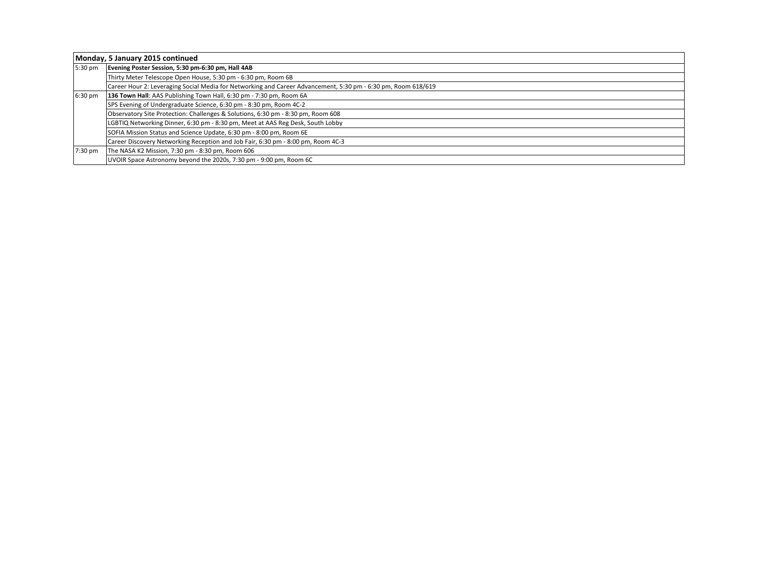|           | Monday, 5 January 2015 continued                                                                              |  |  |  |  |
|-----------|---------------------------------------------------------------------------------------------------------------|--|--|--|--|
| 5:30 pm   | Evening Poster Session, 5:30 pm-6:30 pm, Hall 4AB                                                             |  |  |  |  |
|           | Thirty Meter Telescope Open House, 5:30 pm - 6:30 pm, Room 6B                                                 |  |  |  |  |
|           | Career Hour 2: Leveraging Social Media for Networking and Career Advancement, 5:30 pm - 6:30 pm, Room 618/619 |  |  |  |  |
| $6:30$ pm | 136 Town Hall: AAS Publishing Town Hall, 6:30 pm - 7:30 pm, Room 6A                                           |  |  |  |  |
|           | SPS Evening of Undergraduate Science, 6:30 pm - 8:30 pm, Room 4C-2                                            |  |  |  |  |
|           | Observatory Site Protection: Challenges & Solutions, 6:30 pm - 8:30 pm, Room 608                              |  |  |  |  |
|           | LGBTIQ Networking Dinner, 6:30 pm - 8:30 pm, Meet at AAS Reg Desk, South Lobby                                |  |  |  |  |
|           | SOFIA Mission Status and Science Update, 6:30 pm - 8:00 pm, Room 6E                                           |  |  |  |  |
|           | Career Discovery Networking Reception and Job Fair, 6:30 pm - 8:00 pm, Room 4C-3                              |  |  |  |  |
| $7:30$ pm | The NASA K2 Mission, 7:30 pm - 8:30 pm, Room 606                                                              |  |  |  |  |
|           | UVOIR Space Astronomy beyond the 2020s, 7:30 pm - 9:00 pm, Room 6C                                            |  |  |  |  |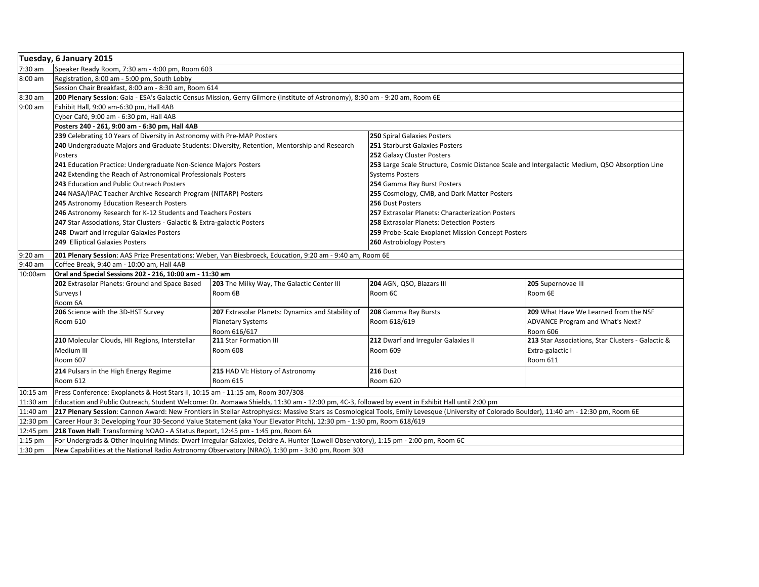|            | Tuesday, 6 January 2015                                                                                                                        |                                                                                                                                                                                              |                                                   |                                                                                                |  |
|------------|------------------------------------------------------------------------------------------------------------------------------------------------|----------------------------------------------------------------------------------------------------------------------------------------------------------------------------------------------|---------------------------------------------------|------------------------------------------------------------------------------------------------|--|
| 7:30 am    | Speaker Ready Room, 7:30 am - 4:00 pm, Room 603                                                                                                |                                                                                                                                                                                              |                                                   |                                                                                                |  |
| 8:00 am    | Registration, 8:00 am - 5:00 pm, South Lobby                                                                                                   |                                                                                                                                                                                              |                                                   |                                                                                                |  |
|            | Session Chair Breakfast, 8:00 am - 8:30 am, Room 614                                                                                           |                                                                                                                                                                                              |                                                   |                                                                                                |  |
| 8:30 am    |                                                                                                                                                | 200 Plenary Session: Gaia - ESA's Galactic Census Mission, Gerry Gilmore (Institute of Astronomy), 8:30 am - 9:20 am, Room 6E                                                                |                                                   |                                                                                                |  |
| $9:00$ am  | Exhibit Hall, 9:00 am-6:30 pm, Hall 4AB                                                                                                        |                                                                                                                                                                                              |                                                   |                                                                                                |  |
|            | Cyber Café, 9:00 am - 6:30 pm, Hall 4AB                                                                                                        |                                                                                                                                                                                              |                                                   |                                                                                                |  |
|            | Posters 240 - 261, 9:00 am - 6:30 pm, Hall 4AB                                                                                                 |                                                                                                                                                                                              |                                                   |                                                                                                |  |
|            | 239 Celebrating 10 Years of Diversity in Astronomy with Pre-MAP Posters                                                                        |                                                                                                                                                                                              | 250 Spiral Galaxies Posters                       |                                                                                                |  |
|            | 240 Undergraduate Majors and Graduate Students: Diversity, Retention, Mentorship and Research                                                  |                                                                                                                                                                                              | 251 Starburst Galaxies Posters                    |                                                                                                |  |
|            | Posters                                                                                                                                        |                                                                                                                                                                                              | 252 Galaxy Cluster Posters                        |                                                                                                |  |
|            | 241 Education Practice: Undergraduate Non-Science Majors Posters                                                                               |                                                                                                                                                                                              |                                                   | 253 Large Scale Structure, Cosmic Distance Scale and Intergalactic Medium, QSO Absorption Line |  |
|            | 242 Extending the Reach of Astronomical Professionals Posters                                                                                  |                                                                                                                                                                                              | <b>Systems Posters</b>                            |                                                                                                |  |
|            | 243 Education and Public Outreach Posters                                                                                                      |                                                                                                                                                                                              | 254 Gamma Ray Burst Posters                       |                                                                                                |  |
|            | 244 NASA/IPAC Teacher Archive Research Program (NITARP) Posters                                                                                |                                                                                                                                                                                              | 255 Cosmology, CMB, and Dark Matter Posters       |                                                                                                |  |
|            | 245 Astronomy Education Research Posters                                                                                                       |                                                                                                                                                                                              | 256 Dust Posters                                  |                                                                                                |  |
|            | 246 Astronomy Research for K-12 Students and Teachers Posters                                                                                  |                                                                                                                                                                                              | 257 Extrasolar Planets: Characterization Posters  |                                                                                                |  |
|            | 247 Star Associations, Star Clusters - Galactic & Extra-galactic Posters                                                                       |                                                                                                                                                                                              | <b>258</b> Extrasolar Planets: Detection Posters  |                                                                                                |  |
|            | 248 Dwarf and Irregular Galaxies Posters                                                                                                       |                                                                                                                                                                                              | 259 Probe-Scale Exoplanet Mission Concept Posters |                                                                                                |  |
|            | 249 Elliptical Galaxies Posters                                                                                                                |                                                                                                                                                                                              | 260 Astrobiology Posters                          |                                                                                                |  |
| $9:20$ am  | 201 Plenary Session: AAS Prize Presentations: Weber, Van Biesbroeck, Education, 9:20 am - 9:40 am, Room 6E                                     |                                                                                                                                                                                              |                                                   |                                                                                                |  |
| 9:40 am    | Coffee Break, 9:40 am - 10:00 am, Hall 4AB                                                                                                     |                                                                                                                                                                                              |                                                   |                                                                                                |  |
| 10:00am    | Oral and Special Sessions 202 - 216, 10:00 am - 11:30 am                                                                                       |                                                                                                                                                                                              |                                                   |                                                                                                |  |
|            | 202 Extrasolar Planets: Ground and Space Based                                                                                                 | 203 The Milky Way, The Galactic Center III                                                                                                                                                   | 204 AGN, QSO, Blazars III                         | 205 Supernovae III                                                                             |  |
|            | Surveys I                                                                                                                                      | Room 6B                                                                                                                                                                                      | Room 6C                                           | Room 6E                                                                                        |  |
|            | Room 6A                                                                                                                                        |                                                                                                                                                                                              |                                                   |                                                                                                |  |
|            | 206 Science with the 3D-HST Survey                                                                                                             | 207 Extrasolar Planets: Dynamics and Stability of                                                                                                                                            | 208 Gamma Ray Bursts                              | 209 What Have We Learned from the NSF                                                          |  |
|            | Room 610                                                                                                                                       | <b>Planetary Systems</b>                                                                                                                                                                     | Room 618/619                                      | ADVANCE Program and What's Next?                                                               |  |
|            |                                                                                                                                                | Room 616/617                                                                                                                                                                                 |                                                   | Room 606                                                                                       |  |
|            | 210 Molecular Clouds, HII Regions, Interstellar                                                                                                | 211 Star Formation III                                                                                                                                                                       | 212 Dwarf and Irregular Galaxies II               | 213 Star Associations, Star Clusters - Galactic &                                              |  |
|            | Medium III                                                                                                                                     | Room 608                                                                                                                                                                                     | Room 609                                          | Extra-galactic I                                                                               |  |
|            | Room 607                                                                                                                                       |                                                                                                                                                                                              |                                                   | Room 611                                                                                       |  |
|            | 214 Pulsars in the High Energy Regime                                                                                                          | 215 HAD VI: History of Astronomy                                                                                                                                                             | <b>216 Dust</b>                                   |                                                                                                |  |
|            | Room 612                                                                                                                                       | Room 615                                                                                                                                                                                     | Room 620                                          |                                                                                                |  |
| $10:15$ am | Press Conference: Exoplanets & Host Stars II, 10:15 am - 11:15 am, Room 307/308                                                                |                                                                                                                                                                                              |                                                   |                                                                                                |  |
| 11:30 am   | Education and Public Outreach, Student Welcome: Dr. Aomawa Shields, 11:30 am - 12:00 pm, 4C-3, followed by event in Exhibit Hall until 2:00 pm |                                                                                                                                                                                              |                                                   |                                                                                                |  |
| 11:40 am   |                                                                                                                                                | 217 Plenary Session: Cannon Award: New Frontiers in Stellar Astrophysics: Massive Stars as Cosmological Tools, Emily Levesque (University of Colorado Boulder), 11:40 am - 12:30 pm, Room 6E |                                                   |                                                                                                |  |
| 12:30 pm   |                                                                                                                                                | Career Hour 3: Developing Your 30-Second Value Statement (aka Your Elevator Pitch), 12:30 pm - 1:30 pm, Room 618/619                                                                         |                                                   |                                                                                                |  |
| 12:45 pm   | 218 Town Hall: Transforming NOAO - A Status Report, 12:45 pm - 1:45 pm, Room 6A                                                                |                                                                                                                                                                                              |                                                   |                                                                                                |  |
| $1:15$ pm  | For Undergrads & Other Inquiring Minds: Dwarf Irregular Galaxies, Deidre A. Hunter (Lowell Observatory), 1:15 pm - 2:00 pm, Room 6C            |                                                                                                                                                                                              |                                                   |                                                                                                |  |
| $1:30$ pm  | New Capabilities at the National Radio Astronomy Observatory (NRAO), 1:30 pm - 3:30 pm, Room 303                                               |                                                                                                                                                                                              |                                                   |                                                                                                |  |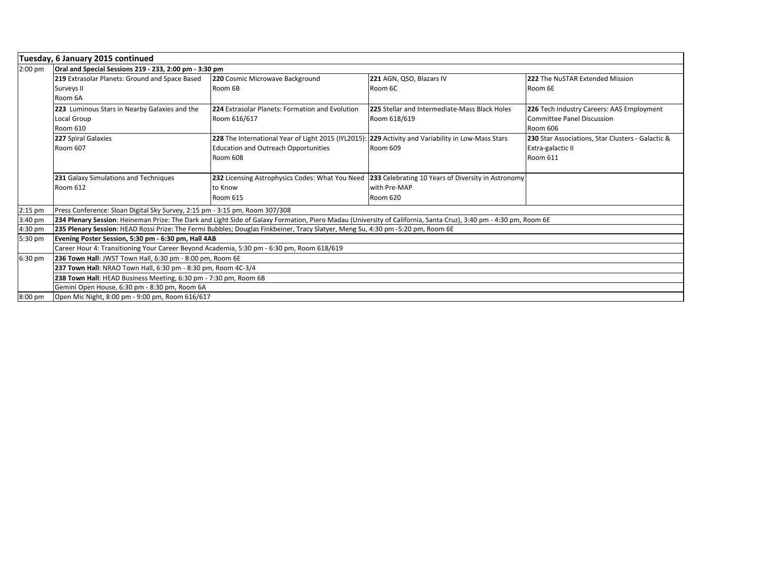|           | Tuesday, 6 January 2015 continued                                                         |                                                                                                                                                                  |                                                                                                    |                                                   |  |  |  |  |
|-----------|-------------------------------------------------------------------------------------------|------------------------------------------------------------------------------------------------------------------------------------------------------------------|----------------------------------------------------------------------------------------------------|---------------------------------------------------|--|--|--|--|
| $2:00$ pm | Oral and Special Sessions 219 - 233, 2:00 pm - 3:30 pm                                    |                                                                                                                                                                  |                                                                                                    |                                                   |  |  |  |  |
|           | 219 Extrasolar Planets: Ground and Space Based                                            | 220 Cosmic Microwave Background                                                                                                                                  | 221 AGN, QSO, Blazars IV                                                                           | 222 The NuSTAR Extended Mission                   |  |  |  |  |
|           | Surveys II                                                                                | Room 6B                                                                                                                                                          | Room 6C                                                                                            | Room 6E                                           |  |  |  |  |
|           | Room 6A                                                                                   |                                                                                                                                                                  |                                                                                                    |                                                   |  |  |  |  |
|           | 223 Luminous Stars in Nearby Galaxies and the                                             | 224 Extrasolar Planets: Formation and Evolution                                                                                                                  | 225 Stellar and Intermediate-Mass Black Holes                                                      | 226 Tech Industry Careers: AAS Employment         |  |  |  |  |
|           | Local Group                                                                               | Room 616/617                                                                                                                                                     | Room 618/619                                                                                       | Committee Panel Discussion                        |  |  |  |  |
|           | Room 610                                                                                  |                                                                                                                                                                  |                                                                                                    | Room 606                                          |  |  |  |  |
|           | 227 Spiral Galaxies                                                                       | 228 The International Year of Light 2015 (IYL2015): 229 Activity and Variability in Low-Mass Stars                                                               |                                                                                                    | 230 Star Associations, Star Clusters - Galactic & |  |  |  |  |
|           | Room 607                                                                                  | <b>Education and Outreach Opportunities</b>                                                                                                                      | Room 609                                                                                           | Extra-galactic II                                 |  |  |  |  |
|           |                                                                                           | Room 608                                                                                                                                                         |                                                                                                    | Room 611                                          |  |  |  |  |
|           |                                                                                           |                                                                                                                                                                  |                                                                                                    |                                                   |  |  |  |  |
|           | 231 Galaxy Simulations and Techniques                                                     |                                                                                                                                                                  | 232 Licensing Astrophysics Codes: What You Need 233 Celebrating 10 Years of Diversity in Astronomy |                                                   |  |  |  |  |
|           | <b>Room 612</b>                                                                           | to Know                                                                                                                                                          | with Pre-MAP                                                                                       |                                                   |  |  |  |  |
|           |                                                                                           | Room 615                                                                                                                                                         | Room 620                                                                                           |                                                   |  |  |  |  |
| $2:15$ pm | Press Conference: Sloan Digital Sky Survey, 2:15 pm - 3:15 pm, Room 307/308               |                                                                                                                                                                  |                                                                                                    |                                                   |  |  |  |  |
| 3:40 pm   |                                                                                           | 234 Plenary Session: Heineman Prize: The Dark and Light Side of Galaxy Formation, Piero Madau (University of California, Santa Cruz), 3:40 pm - 4:30 pm, Room 6E |                                                                                                    |                                                   |  |  |  |  |
| 4:30 pm   |                                                                                           | 235 Plenary Session: HEAD Rossi Prize: The Fermi Bubbles; Douglas Finkbeiner, Tracy Slatyer, Meng Su, 4:30 pm -5:20 pm, Room 6E                                  |                                                                                                    |                                                   |  |  |  |  |
| 5:30 pm   | Evening Poster Session, 5:30 pm - 6:30 pm, Hall 4AB                                       |                                                                                                                                                                  |                                                                                                    |                                                   |  |  |  |  |
|           | Career Hour 4: Transitioning Your Career Beyond Academia, 5:30 pm - 6:30 pm, Room 618/619 |                                                                                                                                                                  |                                                                                                    |                                                   |  |  |  |  |
| 6:30 pm   | 236 Town Hall: JWST Town Hall, 6:30 pm - 8:00 pm, Room 6E                                 |                                                                                                                                                                  |                                                                                                    |                                                   |  |  |  |  |
|           | 237 Town Hall: NRAO Town Hall, 6:30 pm - 8:30 pm, Room 4C-3/4                             |                                                                                                                                                                  |                                                                                                    |                                                   |  |  |  |  |
|           | 238 Town Hall: HEAD Business Meeting, 6:30 pm - 7:30 pm, Room 6B                          |                                                                                                                                                                  |                                                                                                    |                                                   |  |  |  |  |
|           | Gemini Open House, 6:30 pm - 8:30 pm, Room 6A                                             |                                                                                                                                                                  |                                                                                                    |                                                   |  |  |  |  |
| 8:00 pm   |                                                                                           |                                                                                                                                                                  |                                                                                                    | Open Mic Night, 8:00 pm - 9:00 pm, Room 616/617   |  |  |  |  |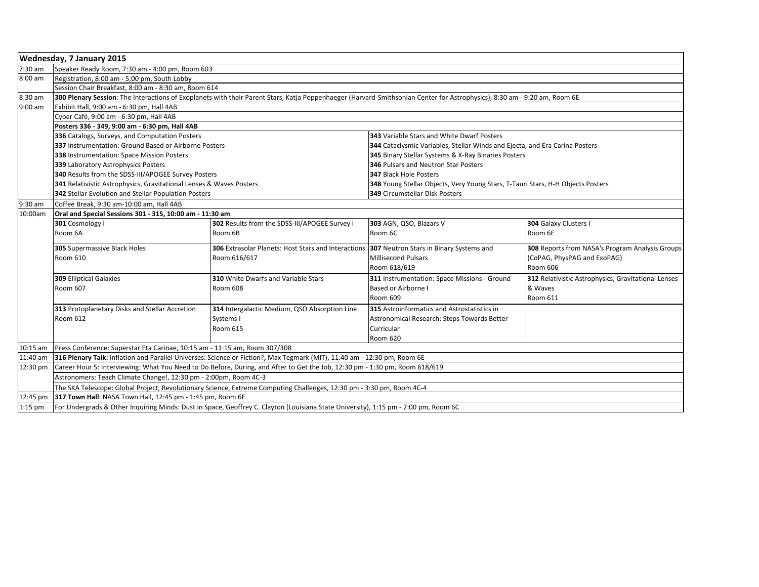|            | Wednesday, 7 January 2015                                                                                                           |                                                                                                                                                                           |                                                                                 |                                                     |  |
|------------|-------------------------------------------------------------------------------------------------------------------------------------|---------------------------------------------------------------------------------------------------------------------------------------------------------------------------|---------------------------------------------------------------------------------|-----------------------------------------------------|--|
| 7:30 am    | Speaker Ready Room, 7:30 am - 4:00 pm, Room 603                                                                                     |                                                                                                                                                                           |                                                                                 |                                                     |  |
| $8:00$ am  | Registration, 8:00 am - 5:00 pm, South Lobby                                                                                        |                                                                                                                                                                           |                                                                                 |                                                     |  |
|            | Session Chair Breakfast, 8:00 am - 8:30 am, Room 614                                                                                |                                                                                                                                                                           |                                                                                 |                                                     |  |
| 8:30 am    |                                                                                                                                     | 300 Plenary Session: The Interactions of Exoplanets with their Parent Stars, Katja Poppenhaeger (Harvard-Smithsonian Center for Astrophysics), 8:30 am - 9:20 am, Room 6E |                                                                                 |                                                     |  |
| $9:00$ am  | Exhibit Hall, 9:00 am - 6:30 pm, Hall 4AB                                                                                           |                                                                                                                                                                           |                                                                                 |                                                     |  |
|            | Cyber Café, 9:00 am - 6:30 pm, Hall 4AB                                                                                             |                                                                                                                                                                           |                                                                                 |                                                     |  |
|            | Posters 336 - 349, 9:00 am - 6:30 pm, Hall 4AB                                                                                      |                                                                                                                                                                           |                                                                                 |                                                     |  |
|            | 336 Catalogs, Surveys, and Computation Posters                                                                                      |                                                                                                                                                                           | 343 Variable Stars and White Dwarf Posters                                      |                                                     |  |
|            | 337 Instrumentation: Ground Based or Airborne Posters                                                                               |                                                                                                                                                                           | 344 Cataclysmic Variables, Stellar Winds and Ejecta, and Era Carina Posters     |                                                     |  |
|            | 338 Instrumentation: Space Mission Posters                                                                                          |                                                                                                                                                                           | 345 Binary Stellar Systems & X-Ray Binaries Posters                             |                                                     |  |
|            | 339 Laboratory Astrophysics Posters                                                                                                 |                                                                                                                                                                           | 346 Pulsars and Neutron Star Posters                                            |                                                     |  |
|            | 340 Results from the SDSS-III/APOGEE Survey Posters                                                                                 |                                                                                                                                                                           | <b>347 Black Hole Posters</b>                                                   |                                                     |  |
|            | 341 Relativistic Astrophysics, Gravitational Lenses & Waves Posters                                                                 |                                                                                                                                                                           | 348 Young Stellar Objects, Very Young Stars, T-Tauri Stars, H-H Objects Posters |                                                     |  |
|            | 342 Stellar Evolution and Stellar Population Posters<br>349 Circumstellar Disk Posters                                              |                                                                                                                                                                           |                                                                                 |                                                     |  |
| 9:30 am    | Coffee Break, 9:30 am-10:00 am, Hall 4AB                                                                                            |                                                                                                                                                                           |                                                                                 |                                                     |  |
| 10:00am    | Oral and Special Sessions 301 - 315, 10:00 am - 11:30 am                                                                            |                                                                                                                                                                           |                                                                                 |                                                     |  |
|            | 301 Cosmology I                                                                                                                     | 302 Results from the SDSS-III/APOGEE Survey I                                                                                                                             | 303 AGN, QSO, Blazars V                                                         | 304 Galaxy Clusters I                               |  |
|            | Room 6A                                                                                                                             | Room 6B                                                                                                                                                                   | Room 6C                                                                         | Room 6E                                             |  |
|            | <b>305</b> Supermassive Black Holes                                                                                                 | <b>306</b> Extrasolar Planets: Host Stars and Interactions                                                                                                                | 307 Neutron Stars in Binary Systems and                                         | 308 Reports from NASA's Program Analysis Groups     |  |
|            | <b>Room 610</b>                                                                                                                     | Room 616/617                                                                                                                                                              | <b>Millisecond Pulsars</b>                                                      | (CoPAG, PhysPAG and ExoPAG)                         |  |
|            |                                                                                                                                     |                                                                                                                                                                           | Room 618/619                                                                    | Room 606                                            |  |
|            | <b>309 Elliptical Galaxies</b>                                                                                                      | 310 White Dwarfs and Variable Stars                                                                                                                                       | 311 Instrumentation: Space Missions - Ground                                    | 312 Relativistic Astrophysics, Gravitational Lenses |  |
|            | Room 607                                                                                                                            | Room 608                                                                                                                                                                  | Based or Airborne I                                                             | & Waves                                             |  |
|            |                                                                                                                                     |                                                                                                                                                                           | Room 609                                                                        | Room 611                                            |  |
|            | 313 Protoplanetary Disks and Stellar Accretion                                                                                      | 314 Intergalactic Medium, QSO Absorption Line                                                                                                                             | 315 Astroinformatics and Astrostatistics in                                     |                                                     |  |
|            | <b>Room 612</b>                                                                                                                     | Systems I                                                                                                                                                                 | Astronomical Research: Steps Towards Better                                     |                                                     |  |
|            |                                                                                                                                     | Room 615                                                                                                                                                                  | Curricular                                                                      |                                                     |  |
|            |                                                                                                                                     |                                                                                                                                                                           | <b>Room 620</b>                                                                 |                                                     |  |
| $10:15$ am | Press Conference: Superstar Eta Carinae, 10:15 am - 11:15 am, Room 307/308                                                          |                                                                                                                                                                           |                                                                                 |                                                     |  |
| 11:40 am   |                                                                                                                                     | 316 Plenary Talk: Inflation and Parallel Universes: Science or Fiction?, Max Tegmark (MIT), 11:40 am - 12:30 pm, Room 6E                                                  |                                                                                 |                                                     |  |
| 12:30 pm   |                                                                                                                                     | Career Hour 5: Interviewing: What You Need to Do Before, During, and After to Get the Job, 12:30 pm - 1:30 pm, Room 618/619                                               |                                                                                 |                                                     |  |
|            | Astronomers: Teach Climate Change!, 12:30 pm - 2:00pm, Room 4C-3                                                                    |                                                                                                                                                                           |                                                                                 |                                                     |  |
|            | The SKA Telescope: Global Project, Revolutionary Science, Extreme Computing Challenges, 12:30 pm - 3:30 pm, Room 4C-4               |                                                                                                                                                                           |                                                                                 |                                                     |  |
|            | 12:45 pm 317 Town Hall: NASA Town Hall, 12:45 pm - 1:45 pm, Room 6E                                                                 |                                                                                                                                                                           |                                                                                 |                                                     |  |
| $1:15$ pm  | For Undergrads & Other Inquiring Minds: Dust in Space, Geoffrey C. Clayton (Louisiana State University), 1:15 pm - 2:00 pm, Room 6C |                                                                                                                                                                           |                                                                                 |                                                     |  |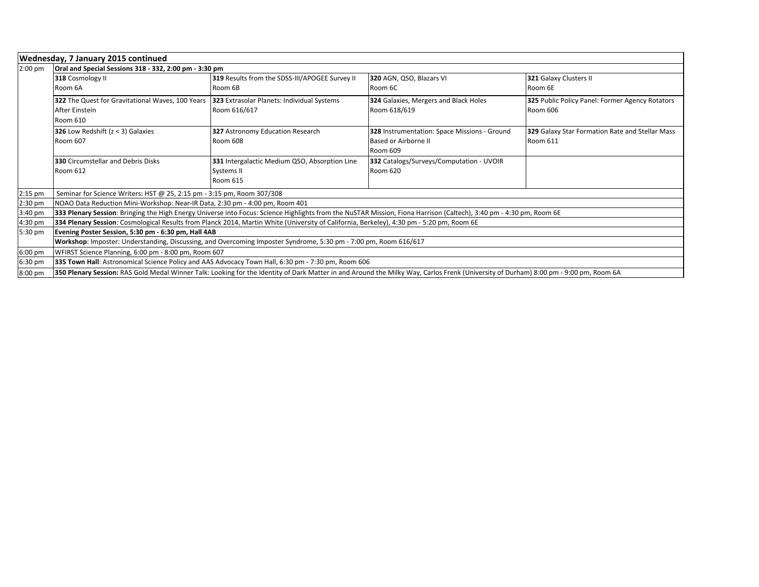|                                                                                                                  | Wednesday, 7 January 2015 continued                                                                                                                                                  |                                                |                                                                                                                                                                     |                                                 |  |  |
|------------------------------------------------------------------------------------------------------------------|--------------------------------------------------------------------------------------------------------------------------------------------------------------------------------------|------------------------------------------------|---------------------------------------------------------------------------------------------------------------------------------------------------------------------|-------------------------------------------------|--|--|
| $2:00$ pm                                                                                                        | Oral and Special Sessions 318 - 332, 2:00 pm - 3:30 pm                                                                                                                               |                                                |                                                                                                                                                                     |                                                 |  |  |
|                                                                                                                  | 318 Cosmology II                                                                                                                                                                     | 319 Results from the SDSS-III/APOGEE Survey II | 320 AGN, QSO, Blazars VI                                                                                                                                            | 321 Galaxy Clusters II                          |  |  |
|                                                                                                                  | Room 6A                                                                                                                                                                              | Room 6B                                        | Room 6C                                                                                                                                                             | Room 6E                                         |  |  |
|                                                                                                                  | 322 The Quest for Gravitational Waves, 100 Years                                                                                                                                     | 323 Extrasolar Planets: Individual Systems     | 324 Galaxies, Mergers and Black Holes                                                                                                                               | 325 Public Policy Panel: Former Agency Rotators |  |  |
|                                                                                                                  | After Einstein                                                                                                                                                                       | Room 616/617                                   | Room 618/619                                                                                                                                                        | Room 606                                        |  |  |
|                                                                                                                  | Room 610                                                                                                                                                                             |                                                |                                                                                                                                                                     |                                                 |  |  |
|                                                                                                                  | <b>326</b> Low Redshift $(z < 3)$ Galaxies                                                                                                                                           | 327 Astronomy Education Research               | 328 Instrumentation: Space Missions - Ground                                                                                                                        | 329 Galaxy Star Formation Rate and Stellar Mass |  |  |
|                                                                                                                  | Room 607                                                                                                                                                                             | Room 608                                       | Based or Airborne II                                                                                                                                                | Room 611                                        |  |  |
|                                                                                                                  |                                                                                                                                                                                      |                                                | Room 609                                                                                                                                                            |                                                 |  |  |
|                                                                                                                  | 330 Circumstellar and Debris Disks                                                                                                                                                   | 331 Intergalactic Medium QSO, Absorption Line  | 332 Catalogs/Surveys/Computation - UVOIR                                                                                                                            |                                                 |  |  |
|                                                                                                                  | Room 612                                                                                                                                                                             | <b>Systems II</b>                              | Room 620                                                                                                                                                            |                                                 |  |  |
|                                                                                                                  |                                                                                                                                                                                      | Room 615                                       |                                                                                                                                                                     |                                                 |  |  |
| $2:15$ pm                                                                                                        | Seminar for Science Writers: HST @ 25, 2:15 pm - 3:15 pm, Room 307/308                                                                                                               |                                                |                                                                                                                                                                     |                                                 |  |  |
| $2:30$ pm                                                                                                        | NOAO Data Reduction Mini-Workshop: Near-IR Data, 2:30 pm - 4:00 pm, Room 401                                                                                                         |                                                |                                                                                                                                                                     |                                                 |  |  |
| 3:40 pm                                                                                                          |                                                                                                                                                                                      |                                                | 333 Plenary Session: Bringing the High Energy Universe into Focus: Science Highlights from the NuSTAR Mission, Fiona Harrison (Caltech), 3:40 pm - 4:30 pm, Room 6E |                                                 |  |  |
| 4:30 pm                                                                                                          | 334 Plenary Session: Cosmological Results from Planck 2014, Martin White (University of California, Berkeley), 4:30 pm - 5:20 pm, Room 6E                                            |                                                |                                                                                                                                                                     |                                                 |  |  |
| 5:30 pm                                                                                                          | Evening Poster Session, 5:30 pm - 6:30 pm, Hall 4AB                                                                                                                                  |                                                |                                                                                                                                                                     |                                                 |  |  |
| Workshop: Imposter: Understanding, Discussing, and Overcoming Imposter Syndrome, 5:30 pm - 7:00 pm, Room 616/617 |                                                                                                                                                                                      |                                                |                                                                                                                                                                     |                                                 |  |  |
| $6:00$ pm                                                                                                        | WFIRST Science Planning, 6:00 pm - 8:00 pm, Room 607                                                                                                                                 |                                                |                                                                                                                                                                     |                                                 |  |  |
| 6:30 pm                                                                                                          | 335 Town Hall: Astronomical Science Policy and AAS Advocacy Town Hall, 6:30 pm - 7:30 pm, Room 606                                                                                   |                                                |                                                                                                                                                                     |                                                 |  |  |
| 8:00 pm                                                                                                          | 350 Plenary Session: RAS Gold Medal Winner Talk: Looking for the Identity of Dark Matter in and Around the Milky Way, Carlos Frenk (University of Durham) 8:00 pm - 9:00 pm, Room 6A |                                                |                                                                                                                                                                     |                                                 |  |  |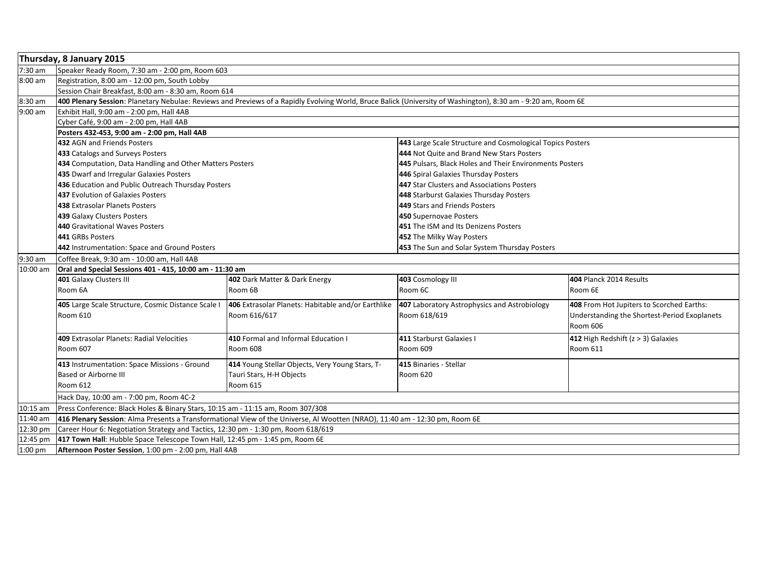|                                                        | Thursday, 8 January 2015                                                                                                    |                                                                                                                                                               |                                                           |                                              |  |
|--------------------------------------------------------|-----------------------------------------------------------------------------------------------------------------------------|---------------------------------------------------------------------------------------------------------------------------------------------------------------|-----------------------------------------------------------|----------------------------------------------|--|
| 7:30 am                                                | Speaker Ready Room, 7:30 am - 2:00 pm, Room 603                                                                             |                                                                                                                                                               |                                                           |                                              |  |
| 8:00 am                                                | Registration, 8:00 am - 12:00 pm, South Lobby                                                                               |                                                                                                                                                               |                                                           |                                              |  |
|                                                        | Session Chair Breakfast, 8:00 am - 8:30 am, Room 614                                                                        |                                                                                                                                                               |                                                           |                                              |  |
| 8:30 am                                                |                                                                                                                             | 400 Plenary Session: Planetary Nebulae: Reviews and Previews of a Rapidly Evolving World, Bruce Balick (University of Washington), 8:30 am - 9:20 am, Room 6E |                                                           |                                              |  |
| Exhibit Hall, 9:00 am - 2:00 pm, Hall 4AB<br>$9:00$ am |                                                                                                                             |                                                                                                                                                               |                                                           |                                              |  |
|                                                        | Cyber Café, 9:00 am - 2:00 pm, Hall 4AB                                                                                     |                                                                                                                                                               |                                                           |                                              |  |
|                                                        | Posters 432-453, 9:00 am - 2:00 pm, Hall 4AB                                                                                |                                                                                                                                                               |                                                           |                                              |  |
|                                                        | 432 AGN and Friends Posters                                                                                                 |                                                                                                                                                               | 443 Large Scale Structure and Cosmological Topics Posters |                                              |  |
|                                                        | 433 Catalogs and Surveys Posters                                                                                            |                                                                                                                                                               | 444 Not Quite and Brand New Stars Posters                 |                                              |  |
|                                                        | 434 Computation, Data Handling and Other Matters Posters                                                                    |                                                                                                                                                               | 445 Pulsars, Black Holes and Their Environments Posters   |                                              |  |
|                                                        | 435 Dwarf and Irregular Galaxies Posters                                                                                    |                                                                                                                                                               | 446 Spiral Galaxies Thursday Posters                      |                                              |  |
|                                                        | 436 Education and Public Outreach Thursday Posters                                                                          |                                                                                                                                                               | 447 Star Clusters and Associations Posters                |                                              |  |
|                                                        | 437 Evolution of Galaxies Posters                                                                                           |                                                                                                                                                               | 448 Starburst Galaxies Thursday Posters                   |                                              |  |
|                                                        | 438 Extrasolar Planets Posters                                                                                              |                                                                                                                                                               | 449 Stars and Friends Posters                             |                                              |  |
|                                                        | 439 Galaxy Clusters Posters                                                                                                 |                                                                                                                                                               | 450 Supernovae Posters                                    |                                              |  |
|                                                        | 440 Gravitational Waves Posters                                                                                             |                                                                                                                                                               | 451 The ISM and Its Denizens Posters                      |                                              |  |
|                                                        | 441 GRBs Posters                                                                                                            |                                                                                                                                                               | 452 The Milky Way Posters                                 |                                              |  |
|                                                        | 442 Instrumentation: Space and Ground Posters                                                                               |                                                                                                                                                               | 453 The Sun and Solar System Thursday Posters             |                                              |  |
| 9:30 am                                                | Coffee Break, 9:30 am - 10:00 am, Hall 4AB                                                                                  |                                                                                                                                                               |                                                           |                                              |  |
| $10:00$ am                                             | Oral and Special Sessions 401 - 415, 10:00 am - 11:30 am                                                                    |                                                                                                                                                               |                                                           |                                              |  |
|                                                        | 401 Galaxy Clusters III                                                                                                     | 402 Dark Matter & Dark Energy                                                                                                                                 | 403 Cosmology III                                         | 404 Planck 2014 Results                      |  |
|                                                        | Room 6A                                                                                                                     | Room 6B                                                                                                                                                       | Room 6C                                                   | Room 6E                                      |  |
|                                                        | 405 Large Scale Structure, Cosmic Distance Scale I                                                                          | 406 Extrasolar Planets: Habitable and/or Earthlike                                                                                                            | 407 Laboratory Astrophysics and Astrobiology              | 408 From Hot Jupiters to Scorched Earths:    |  |
|                                                        | Room 610                                                                                                                    | Room 616/617                                                                                                                                                  | Room 618/619                                              | Understanding the Shortest-Period Exoplanets |  |
|                                                        |                                                                                                                             |                                                                                                                                                               |                                                           | Room 606                                     |  |
|                                                        | 409 Extrasolar Planets: Radial Velocities                                                                                   | 410 Formal and Informal Education I                                                                                                                           | 411 Starburst Galaxies I                                  | 412 High Redshift $(z > 3)$ Galaxies         |  |
|                                                        | Room 607                                                                                                                    | <b>Room 608</b>                                                                                                                                               | Room 609                                                  | Room 611                                     |  |
|                                                        | 413 Instrumentation: Space Missions - Ground                                                                                | 414 Young Stellar Objects, Very Young Stars, T-                                                                                                               | 415 Binaries - Stellar                                    |                                              |  |
|                                                        | <b>Based or Airborne III</b>                                                                                                | Tauri Stars, H-H Objects                                                                                                                                      | Room 620                                                  |                                              |  |
|                                                        | Room 612                                                                                                                    | Room 615                                                                                                                                                      |                                                           |                                              |  |
|                                                        | Hack Day, 10:00 am - 7:00 pm, Room 4C-2                                                                                     |                                                                                                                                                               |                                                           |                                              |  |
| $10:15$ am                                             | Press Conference: Black Holes & Binary Stars, 10:15 am - 11:15 am, Room 307/308                                             |                                                                                                                                                               |                                                           |                                              |  |
| $11:40$ am                                             | 416 Plenary Session: Alma Presents a Transformational View of the Universe, Al Wootten (NRAO), 11:40 am - 12:30 pm, Room 6E |                                                                                                                                                               |                                                           |                                              |  |
| 12:30 pm                                               | Career Hour 6: Negotiation Strategy and Tactics, 12:30 pm - 1:30 pm, Room 618/619                                           |                                                                                                                                                               |                                                           |                                              |  |
| 12:45 pm                                               | 417 Town Hall: Hubble Space Telescope Town Hall, 12:45 pm - 1:45 pm, Room 6E                                                |                                                                                                                                                               |                                                           |                                              |  |
| $1:00$ pm                                              | Afternoon Poster Session, 1:00 pm - 2:00 pm, Hall 4AB                                                                       |                                                                                                                                                               |                                                           |                                              |  |